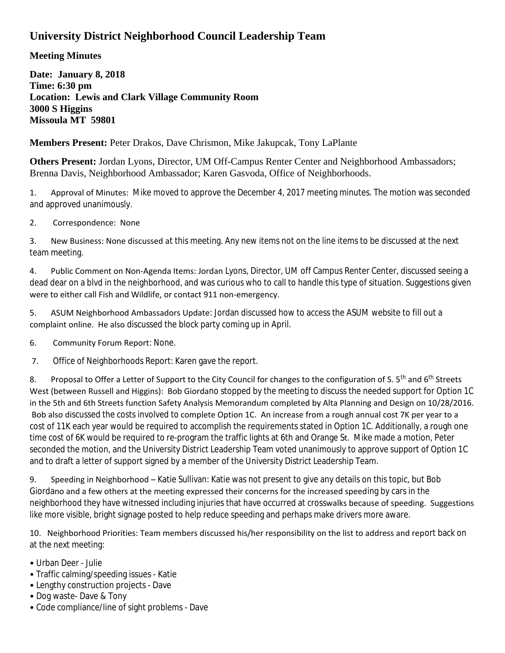## **University District Neighborhood Council Leadership Team**

**Meeting Minutes**

**Date: January 8, 2018 Time: 6:30 pm Location: Lewis and Clark Village Community Room 3000 S Higgins Missoula MT 59801**

**Members Present:** Peter Drakos, Dave Chrismon, Mike Jakupcak, Tony LaPlante

**Others Present:** Jordan Lyons, Director, UM Off-Campus Renter Center and Neighborhood Ambassadors; Brenna Davis, Neighborhood Ambassador; Karen Gasvoda, Office of Neighborhoods.

1. Approval of Minutes: Mike moved to approve the December 4, 2017 meeting minutes. The motion was seconded and approved unanimously.

2. Correspondence: None

3. New Business: None discussed at this meeting. Any new items not on the line items to be discussed at the next team meeting.

4. Public Comment on Non-Agenda Items: Jordan Lyons, Director, UM off Campus Renter Center, discussed seeing a dead dear on a blvd in the neighborhood, and was curious who to call to handle this type of situation. Suggestions given were to either call Fish and Wildlife, or contact 911 non-emergency.

5. ASUM Neighborhood Ambassadors Update: Jordan discussed how to access the ASUM website to fill out a complaint online. He also discussed the block party coming up in April.

6. Community Forum Report: None.

7. Office of Neighborhoods Report: Karen gave the report.

8. Proposal to Offer a Letter of Support to the City Council for changes to the configuration of S. 5<sup>th</sup> and 6<sup>th</sup> Streets West (between Russell and Higgins): Bob Giordano stopped by the meeting to discuss the needed support for Option 1C in the 5th and 6th Streets function Safety Analysis Memorandum completed by Alta Planning and Design on 10/28/2016. Bob also discussed the costs involved to complete Option 1C. An increase from a rough annual cost 7K per year to a cost of 11K each year would be required to accomplish the requirements stated in Option 1C. Additionally, a rough one time cost of 6K would be required to re-program the traffic lights at 6th and Orange St. Mike made a motion, Peter seconded the motion, and the University District Leadership Team voted unanimously to approve support of Option 1C and to draft a letter of support signed by a member of the University District Leadership Team.

9. Speeding in Neighborhood – Katie Sullivan: Katie was not present to give any details on this topic, but Bob Giordano and a few others at the meeting expressed their concerns for the increased speeding by cars in the neighborhood they have witnessed including injuries that have occurred at crosswalks because of speeding. Suggestions like more visible, bright signage posted to help reduce speeding and perhaps make drivers more aware.

10. Neighborhood Priorities: Team members discussed his/her responsibility on the list to address and report back on at the next meeting:

- Urban Deer Julie
- Traffic calming/speeding issues Katie
- Lengthy construction projects Dave
- Dog waste- Dave & Tony
- Code compliance/line of sight problems Dave